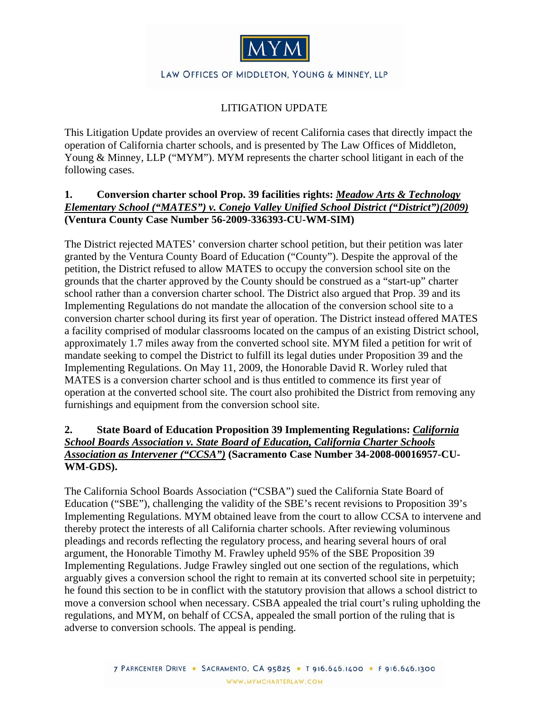

#### LAW OFFICES OF MIDDLETON, YOUNG & MINNEY, LLP

#### LITIGATION UPDATE

This Litigation Update provides an overview of recent California cases that directly impact the operation of California charter schools, and is presented by The Law Offices of Middleton, Young & Minney, LLP ("MYM"). MYM represents the charter school litigant in each of the following cases.

#### **1. Conversion charter school Prop. 39 facilities rights:** *Meadow Arts & Technology Elementary School ("MATES") v. Conejo Valley Unified School District ("District")(2009)* **(Ventura County Case Number 56-2009-336393-CU-WM-SIM)**

The District rejected MATES' conversion charter school petition, but their petition was later granted by the Ventura County Board of Education ("County"). Despite the approval of the petition, the District refused to allow MATES to occupy the conversion school site on the grounds that the charter approved by the County should be construed as a "start-up" charter school rather than a conversion charter school. The District also argued that Prop. 39 and its Implementing Regulations do not mandate the allocation of the conversion school site to a conversion charter school during its first year of operation. The District instead offered MATES a facility comprised of modular classrooms located on the campus of an existing District school, approximately 1.7 miles away from the converted school site. MYM filed a petition for writ of mandate seeking to compel the District to fulfill its legal duties under Proposition 39 and the Implementing Regulations. On May 11, 2009, the Honorable David R. Worley ruled that MATES is a conversion charter school and is thus entitled to commence its first year of operation at the converted school site. The court also prohibited the District from removing any furnishings and equipment from the conversion school site.

#### **2. State Board of Education Proposition 39 Implementing Regulations:** *California School Boards Association v. State Board of Education, California Charter Schools Association as Intervener ("CCSA")* **(Sacramento Case Number 34-2008-00016957-CU-WM-GDS).**

The California School Boards Association ("CSBA") sued the California State Board of Education ("SBE"), challenging the validity of the SBE's recent revisions to Proposition 39's Implementing Regulations. MYM obtained leave from the court to allow CCSA to intervene and thereby protect the interests of all California charter schools. After reviewing voluminous pleadings and records reflecting the regulatory process, and hearing several hours of oral argument, the Honorable Timothy M. Frawley upheld 95% of the SBE Proposition 39 Implementing Regulations. Judge Frawley singled out one section of the regulations, which arguably gives a conversion school the right to remain at its converted school site in perpetuity; he found this section to be in conflict with the statutory provision that allows a school district to move a conversion school when necessary. CSBA appealed the trial court's ruling upholding the regulations, and MYM, on behalf of CCSA, appealed the small portion of the ruling that is adverse to conversion schools. The appeal is pending.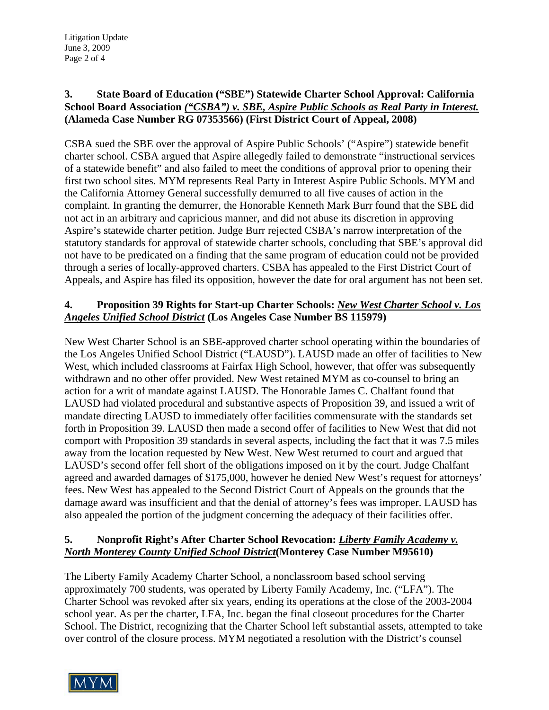### **3. State Board of Education ("SBE") Statewide Charter School Approval: California School Board Association** *("CSBA") v. SBE, Aspire Public Schools as Real Party in Interest.* **(Alameda Case Number RG 07353566) (First District Court of Appeal, 2008)**

CSBA sued the SBE over the approval of Aspire Public Schools' ("Aspire") statewide benefit charter school. CSBA argued that Aspire allegedly failed to demonstrate "instructional services of a statewide benefit" and also failed to meet the conditions of approval prior to opening their first two school sites. MYM represents Real Party in Interest Aspire Public Schools. MYM and the California Attorney General successfully demurred to all five causes of action in the complaint. In granting the demurrer, the Honorable Kenneth Mark Burr found that the SBE did not act in an arbitrary and capricious manner, and did not abuse its discretion in approving Aspire's statewide charter petition. Judge Burr rejected CSBA's narrow interpretation of the statutory standards for approval of statewide charter schools, concluding that SBE's approval did not have to be predicated on a finding that the same program of education could not be provided through a series of locally-approved charters. CSBA has appealed to the First District Court of Appeals, and Aspire has filed its opposition, however the date for oral argument has not been set.

# **4. Proposition 39 Rights for Start-up Charter Schools:** *New West Charter School v. Los Angeles Unified School District* **(Los Angeles Case Number BS 115979)**

New West Charter School is an SBE-approved charter school operating within the boundaries of the Los Angeles Unified School District ("LAUSD"). LAUSD made an offer of facilities to New West, which included classrooms at Fairfax High School, however, that offer was subsequently withdrawn and no other offer provided. New West retained MYM as co-counsel to bring an action for a writ of mandate against LAUSD. The Honorable James C. Chalfant found that LAUSD had violated procedural and substantive aspects of Proposition 39, and issued a writ of mandate directing LAUSD to immediately offer facilities commensurate with the standards set forth in Proposition 39. LAUSD then made a second offer of facilities to New West that did not comport with Proposition 39 standards in several aspects, including the fact that it was 7.5 miles away from the location requested by New West. New West returned to court and argued that LAUSD's second offer fell short of the obligations imposed on it by the court. Judge Chalfant agreed and awarded damages of \$175,000, however he denied New West's request for attorneys' fees. New West has appealed to the Second District Court of Appeals on the grounds that the damage award was insufficient and that the denial of attorney's fees was improper. LAUSD has also appealed the portion of the judgment concerning the adequacy of their facilities offer.

# **5. Nonprofit Right's After Charter School Revocation:** *Liberty Family Academy v. North Monterey County Unified School District***(Monterey Case Number M95610)**

The Liberty Family Academy Charter School, a nonclassroom based school serving approximately 700 students, was operated by Liberty Family Academy, Inc. ("LFA"). The Charter School was revoked after six years, ending its operations at the close of the 2003-2004 school year. As per the charter, LFA, Inc. began the final closeout procedures for the Charter School. The District, recognizing that the Charter School left substantial assets, attempted to take over control of the closure process. MYM negotiated a resolution with the District's counsel

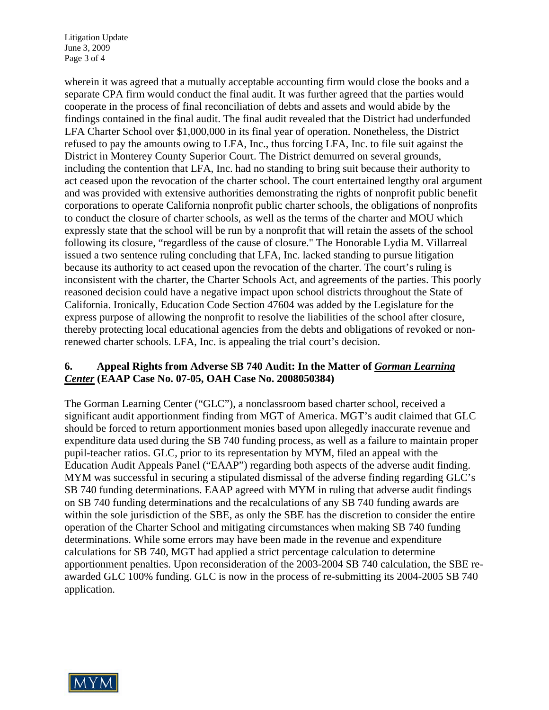Litigation Update June 3, 2009 Page 3 of 4

wherein it was agreed that a mutually acceptable accounting firm would close the books and a separate CPA firm would conduct the final audit. It was further agreed that the parties would cooperate in the process of final reconciliation of debts and assets and would abide by the findings contained in the final audit. The final audit revealed that the District had underfunded LFA Charter School over \$1,000,000 in its final year of operation. Nonetheless, the District refused to pay the amounts owing to LFA, Inc., thus forcing LFA, Inc. to file suit against the District in Monterey County Superior Court. The District demurred on several grounds, including the contention that LFA, Inc. had no standing to bring suit because their authority to act ceased upon the revocation of the charter school. The court entertained lengthy oral argument and was provided with extensive authorities demonstrating the rights of nonprofit public benefit corporations to operate California nonprofit public charter schools, the obligations of nonprofits to conduct the closure of charter schools, as well as the terms of the charter and MOU which expressly state that the school will be run by a nonprofit that will retain the assets of the school following its closure, "regardless of the cause of closure." The Honorable Lydia M. Villarreal issued a two sentence ruling concluding that LFA, Inc. lacked standing to pursue litigation because its authority to act ceased upon the revocation of the charter. The court's ruling is inconsistent with the charter, the Charter Schools Act, and agreements of the parties. This poorly reasoned decision could have a negative impact upon school districts throughout the State of California. Ironically, Education Code Section 47604 was added by the Legislature for the express purpose of allowing the nonprofit to resolve the liabilities of the school after closure, thereby protecting local educational agencies from the debts and obligations of revoked or nonrenewed charter schools. LFA, Inc. is appealing the trial court's decision.

## **6. Appeal Rights from Adverse SB 740 Audit: In the Matter of** *Gorman Learning Center* **(EAAP Case No. 07-05, OAH Case No. 2008050384)**

The Gorman Learning Center ("GLC"), a nonclassroom based charter school, received a significant audit apportionment finding from MGT of America. MGT's audit claimed that GLC should be forced to return apportionment monies based upon allegedly inaccurate revenue and expenditure data used during the SB 740 funding process, as well as a failure to maintain proper pupil-teacher ratios. GLC, prior to its representation by MYM, filed an appeal with the Education Audit Appeals Panel ("EAAP") regarding both aspects of the adverse audit finding. MYM was successful in securing a stipulated dismissal of the adverse finding regarding GLC's SB 740 funding determinations. EAAP agreed with MYM in ruling that adverse audit findings on SB 740 funding determinations and the recalculations of any SB 740 funding awards are within the sole jurisdiction of the SBE, as only the SBE has the discretion to consider the entire operation of the Charter School and mitigating circumstances when making SB 740 funding determinations. While some errors may have been made in the revenue and expenditure calculations for SB 740, MGT had applied a strict percentage calculation to determine apportionment penalties. Upon reconsideration of the 2003-2004 SB 740 calculation, the SBE reawarded GLC 100% funding. GLC is now in the process of re-submitting its 2004-2005 SB 740 application.